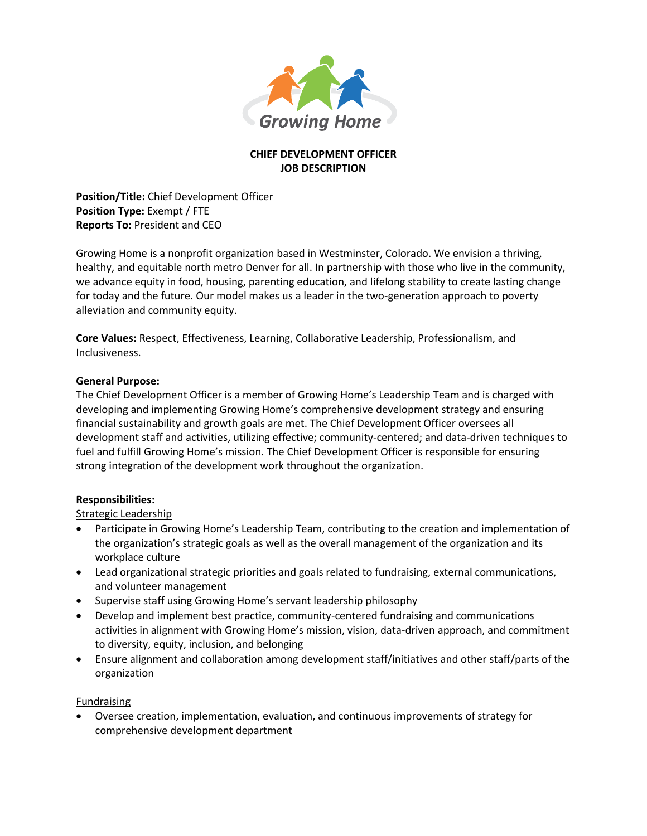

# **CHIEF DEVELOPMENT OFFICER JOB DESCRIPTION**

**Position/Title:** Chief Development Officer **Position Type:** Exempt / FTE **Reports To:** President and CEO

Growing Home is a nonprofit organization based in Westminster, Colorado. We envision a thriving, healthy, and equitable north metro Denver for all. In partnership with those who live in the community, we advance equity in food, housing, parenting education, and lifelong stability to create lasting change for today and the future. Our model makes us a leader in the two-generation approach to poverty alleviation and community equity.

**Core Values:** Respect, Effectiveness, Learning, Collaborative Leadership, Professionalism, and Inclusiveness.

### **General Purpose:**

The Chief Development Officer is a member of Growing Home's Leadership Team and is charged with developing and implementing Growing Home's comprehensive development strategy and ensuring financial sustainability and growth goals are met. The Chief Development Officer oversees all development staff and activities, utilizing effective; community-centered; and data-driven techniques to fuel and fulfill Growing Home's mission. The Chief Development Officer is responsible for ensuring strong integration of the development work throughout the organization.

### **Responsibilities:**

## Strategic Leadership

- Participate in Growing Home's Leadership Team, contributing to the creation and implementation of the organization's strategic goals as well as the overall management of the organization and its workplace culture
- Lead organizational strategic priorities and goals related to fundraising, external communications, and volunteer management
- Supervise staff using Growing Home's servant leadership philosophy
- Develop and implement best practice, community-centered fundraising and communications activities in alignment with Growing Home's mission, vision, data-driven approach, and commitment to diversity, equity, inclusion, and belonging
- Ensure alignment and collaboration among development staff/initiatives and other staff/parts of the organization

### Fundraising

• Oversee creation, implementation, evaluation, and continuous improvements of strategy for comprehensive development department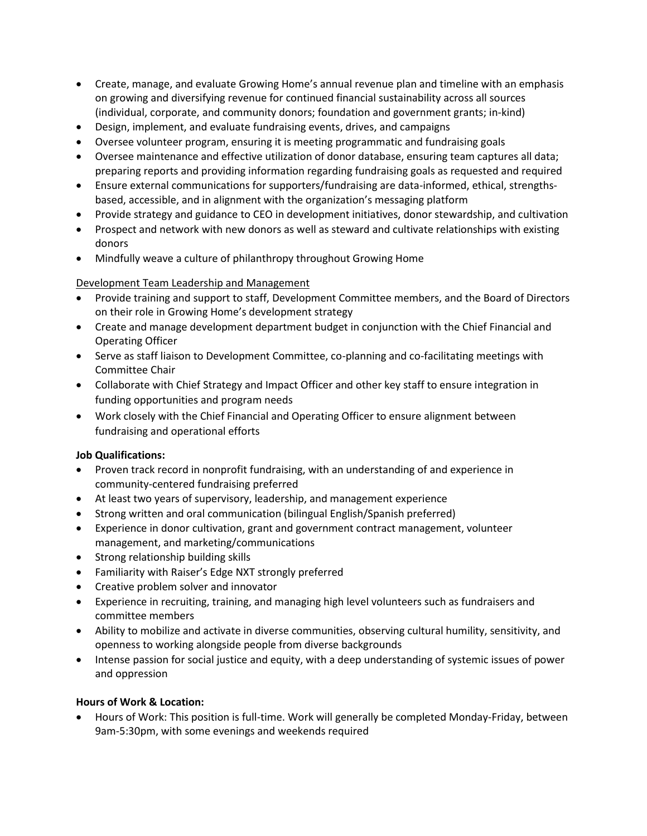- Create, manage, and evaluate Growing Home's annual revenue plan and timeline with an emphasis on growing and diversifying revenue for continued financial sustainability across all sources (individual, corporate, and community donors; foundation and government grants; in-kind)
- Design, implement, and evaluate fundraising events, drives, and campaigns
- Oversee volunteer program, ensuring it is meeting programmatic and fundraising goals
- Oversee maintenance and effective utilization of donor database, ensuring team captures all data; preparing reports and providing information regarding fundraising goals as requested and required
- Ensure external communications for supporters/fundraising are data-informed, ethical, strengthsbased, accessible, and in alignment with the organization's messaging platform
- Provide strategy and guidance to CEO in development initiatives, donor stewardship, and cultivation
- Prospect and network with new donors as well as steward and cultivate relationships with existing donors
- Mindfully weave a culture of philanthropy throughout Growing Home

### Development Team Leadership and Management

- Provide training and support to staff, Development Committee members, and the Board of Directors on their role in Growing Home's development strategy
- Create and manage development department budget in conjunction with the Chief Financial and Operating Officer
- Serve as staff liaison to Development Committee, co-planning and co-facilitating meetings with Committee Chair
- Collaborate with Chief Strategy and Impact Officer and other key staff to ensure integration in funding opportunities and program needs
- Work closely with the Chief Financial and Operating Officer to ensure alignment between fundraising and operational efforts

### **Job Qualifications:**

- Proven track record in nonprofit fundraising, with an understanding of and experience in community-centered fundraising preferred
- At least two years of supervisory, leadership, and management experience
- Strong written and oral communication (bilingual English/Spanish preferred)
- Experience in donor cultivation, grant and government contract management, volunteer management, and marketing/communications
- Strong relationship building skills
- Familiarity with Raiser's Edge NXT strongly preferred
- Creative problem solver and innovator
- Experience in recruiting, training, and managing high level volunteers such as fundraisers and committee members
- Ability to mobilize and activate in diverse communities, observing cultural humility, sensitivity, and openness to working alongside people from diverse backgrounds
- Intense passion for social justice and equity, with a deep understanding of systemic issues of power and oppression

### **Hours of Work & Location:**

• Hours of Work: This position is full-time. Work will generally be completed Monday-Friday, between 9am-5:30pm, with some evenings and weekends required